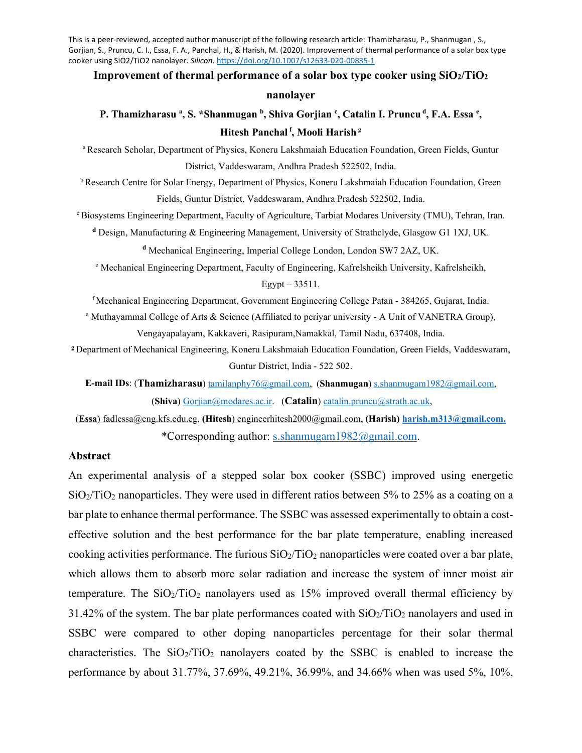This is a peer-reviewed, accepted author manuscript of the following research article: Thamizharasu, P., Shanmugan , S., Gorjian, S., Pruncu, C. I., Essa, F. A., Panchal, H., & Harish, M. (2020). Improvement of thermal performance of a solar box type cooker using SiO2/TiO2 nanolayer. *Silicon*.<https://doi.org/10.1007/s12633-020-00835-1>

# **Improvement of thermal performance of a solar box type cooker using SiO2/TiO2**

#### **nanolayer**

# P. Thamizharasu <sup>a</sup>, S. \*Shanmugan <sup>b</sup>, Shiva Gorjian <sup>c</sup>, Catalin I. Pruncu <sup>d</sup>, F.A. Essa <sup>e</sup>, **Hitesh Panchal f, Mooli Harish g**

a Research Scholar, Department of Physics, Koneru Lakshmaiah Education Foundation, Green Fields, Guntur District, Vaddeswaram, Andhra Pradesh 522502, India.

b Research Centre for Solar Energy, Department of Physics, Koneru Lakshmaiah Education Foundation, Green Fields, Guntur District, Vaddeswaram, Andhra Pradesh 522502, India.

c Biosystems Engineering Department, Faculty of Agriculture, Tarbiat Modares University (TMU), Tehran, Iran.

**<sup>d</sup>** Design, Manufacturing & Engineering Management, University of Strathclyde, Glasgow G1 1XJ, UK.

**<sup>d</sup>** Mechanical Engineering, Imperial College London, London SW7 2AZ, UK.

<sup>e</sup> Mechanical Engineering Department, Faculty of Engineering, Kafrelsheikh University, Kafrelsheikh,

Egypt – 33511.

f Mechanical Engineering Department, Government Engineering College Patan - 384265, Gujarat, India.

<sup>a</sup> Muthayammal College of Arts & Science (Affiliated to periyar university - A Unit of VANETRA Group), Vengayapalayam, Kakkaveri, Rasipuram,Namakkal, Tamil Nadu, 637408, India.

**<sup>g</sup>**Department of Mechanical Engineering, Koneru Lakshmaiah Education Foundation, Green Fields, Vaddeswaram, Guntur District, India - 522 502.

**E-mail IDs**: (**Thamizharasu**) [tamilanphy76@gmail.com,](mailto:tamilanphy76@gmail.com) (**Shanmugan**[\) s.shanmugam1982@gmail.com,](mailto:s.shanmugam1982@gmail.com) (**Shiva**[\) Gorjian@modares.ac.ir.](about:blank) (**Catalin**) [catalin.pruncu@strath.ac.uk,](mailto:catalin.pruncu@strath.ac.uk) 

(**Essa**) [fadlessa@eng.kfs.edu.eg,](about:blank) **(Hitesh**[\) engineerhitesh2000@gmail.com,](about:blank) **(Harish) [harish.m313@gmail.com.](mailto:harish.m313@gmail.com)** \*Corresponding author: [s.shanmugam1982@gmail.com.](mailto:s.shanmugam1982@gmail.com)

# **Abstract**

An experimental analysis of a stepped solar box cooker (SSBC) improved using energetic  $SiO<sub>2</sub>/TiO<sub>2</sub>$  nanoparticles. They were used in different ratios between 5% to 25% as a coating on a bar plate to enhance thermal performance. The SSBC was assessed experimentally to obtain a costeffective solution and the best performance for the bar plate temperature, enabling increased cooking activities performance. The furious  $SiO_2/TiO_2$  nanoparticles were coated over a bar plate, which allows them to absorb more solar radiation and increase the system of inner moist air temperature. The  $SiO<sub>2</sub>/TiO<sub>2</sub>$  nanolayers used as 15% improved overall thermal efficiency by 31.42% of the system. The bar plate performances coated with  $SiO_2/TiO_2$  nanolayers and used in SSBC were compared to other doping nanoparticles percentage for their solar thermal characteristics. The  $SiO<sub>2</sub>/TiO<sub>2</sub>$  nanolayers coated by the SSBC is enabled to increase the performance by about 31.77%, 37.69%, 49.21%, 36.99%, and 34.66% when was used 5%, 10%,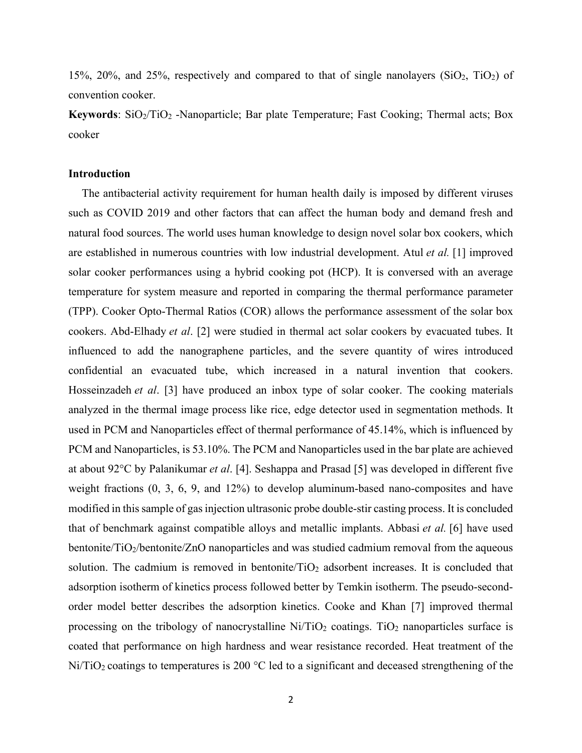15%, 20%, and 25%, respectively and compared to that of single nanolayers (SiO2, TiO2) of convention cooker.

**Keywords**: SiO<sub>2</sub>/TiO<sub>2</sub> -Nanoparticle; Bar plate Temperature; Fast Cooking; Thermal acts; Box cooker

# **Introduction**

The antibacterial activity requirement for human health daily is imposed by different viruses such as COVID 2019 and other factors that can affect the human body and demand fresh and natural food sources. The world uses human knowledge to design novel solar box cookers, which are established in numerous countries with low industrial development. Atul *et al.* [1] improved solar cooker performances using a hybrid cooking pot (HCP). It is conversed with an average temperature for system measure and reported in comparing the thermal performance parameter (TPP). Cooker Opto-Thermal Ratios (COR) allows the performance assessment of the solar box cookers. Abd-Elhady *et al*. [2] were studied in thermal act solar cookers by evacuated tubes. It influenced to add the nanographene particles, and the severe quantity of wires introduced confidential an evacuated tube, which increased in a natural invention that cookers. Hosseinzadeh *et al*. [3] have produced an inbox type of solar cooker. The cooking materials analyzed in the thermal image process like rice, edge detector used in segmentation methods. It used in PCM and Nanoparticles effect of thermal performance of 45.14%, which is influenced by PCM and Nanoparticles, is 53.10%. The PCM and Nanoparticles used in the bar plate are achieved at about 92°C by Palanikumar *et al*. [4]. Seshappa and Prasad [5] was developed in different five weight fractions (0, 3, 6, 9, and 12%) to develop aluminum-based nano-composites and have modified in this sample of gas injection ultrasonic probe double-stir casting process. It is concluded that of benchmark against compatible alloys and metallic implants. Abbasi *et al.* [6] have used bentonite/TiO2/bentonite/ZnO nanoparticles and was studied cadmium removal from the aqueous solution. The cadmium is removed in bentonite/ $TiO<sub>2</sub>$  adsorbent increases. It is concluded that adsorption isotherm of kinetics process followed better by Temkin isotherm. The pseudo-secondorder model better describes the adsorption kinetics. Cooke and Khan [7] improved thermal processing on the tribology of nanocrystalline  $Ni/TiO<sub>2</sub>$  coatings. TiO<sub>2</sub> nanoparticles surface is coated that performance on high hardness and wear resistance recorded. Heat treatment of the  $Ni/TiO<sub>2</sub>$  coatings to temperatures is 200 °C led to a significant and deceased strengthening of the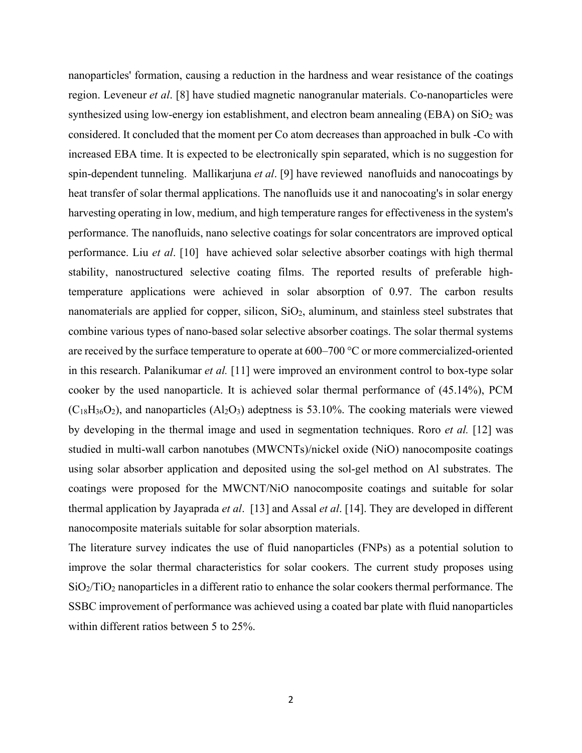nanoparticles' formation, causing a reduction in the hardness and wear resistance of the coatings region. Leveneur *et al*. [8] have studied magnetic nanogranular materials. Co-nanoparticles were synthesized using low-energy ion establishment, and electron beam annealing (EBA) on  $SiO<sub>2</sub>$  was considered. It concluded that the moment per Co atom decreases than approached in bulk -Co with increased EBA time. It is expected to be electronically spin separated, which is no suggestion for spin-dependent tunneling. Mallikarjuna *et al*. [9] have reviewed nanofluids and nanocoatings by heat transfer of solar thermal applications. The nanofluids use it and nanocoating's in solar energy harvesting operating in low, medium, and high temperature ranges for effectiveness in the system's performance. The nanofluids, nano selective coatings for solar concentrators are improved optical performance. Liu *et al*. [10] have achieved solar selective absorber coatings with high thermal stability, nanostructured selective coating films. The reported results of preferable hightemperature applications were achieved in solar absorption of 0.97. The carbon results nanomaterials are applied for copper, silicon,  $SiO<sub>2</sub>$ , aluminum, and stainless steel substrates that combine various types of nano-based solar selective absorber coatings. The solar thermal systems are received by the surface temperature to operate at 600–700 °C or more commercialized-oriented in this research. Palanikumar *et al.* [11] were improved an environment control to box-type solar cooker by the used nanoparticle. It is achieved solar thermal performance of (45.14%), PCM  $(C_{18}H_{36}O_2)$ , and nanoparticles  $(Al_2O_3)$  adeptness is 53.10%. The cooking materials were viewed by developing in the thermal image and used in segmentation techniques. Roro *et al.* [12] was studied in multi-wall carbon nanotubes (MWCNTs)/nickel oxide (NiO) nanocomposite coatings using solar absorber application and deposited using the sol-gel method on Al substrates. The coatings were proposed for the MWCNT/NiO nanocomposite coatings and suitable for solar thermal application by Jayaprada *et al*. [13] and Assal *et al*. [14]. They are developed in different nanocomposite materials suitable for solar absorption materials.

The literature survey indicates the use of fluid nanoparticles (FNPs) as a potential solution to improve the solar thermal characteristics for solar cookers. The current study proposes using  $SiO<sub>2</sub>/TiO<sub>2</sub>$  nanoparticles in a different ratio to enhance the solar cookers thermal performance. The SSBC improvement of performance was achieved using a coated bar plate with fluid nanoparticles within different ratios between 5 to 25%.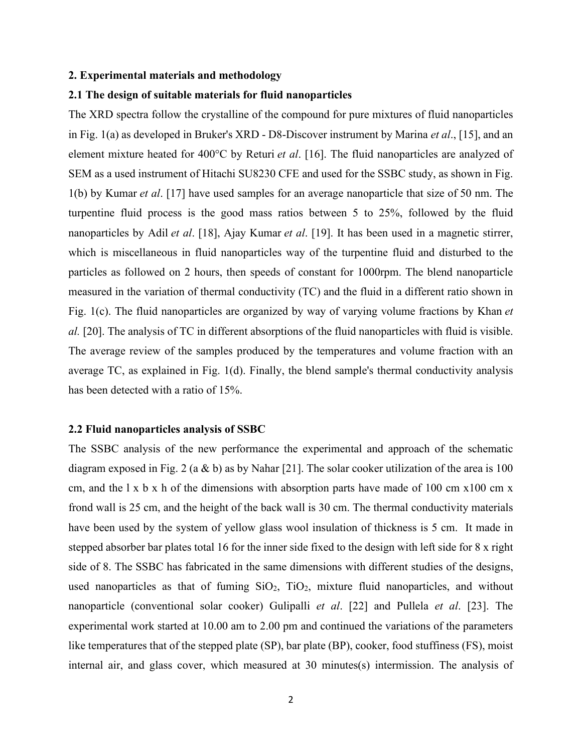#### **2. Experimental materials and methodology**

# **2.1 The design of suitable materials for fluid nanoparticles**

The XRD spectra follow the crystalline of the compound for pure mixtures of fluid nanoparticles in Fig. 1(a) as developed in Bruker's XRD - D8-Discover instrument by Marina *et al*., [15], and an element mixture heated for 400°C by Returi *et al*. [16]. The fluid nanoparticles are analyzed of SEM as a used instrument of Hitachi SU8230 CFE and used for the SSBC study, as shown in Fig. 1(b) by Kumar *et al*. [17] have used samples for an average nanoparticle that size of 50 nm. The turpentine fluid process is the good mass ratios between 5 to 25%, followed by the fluid nanoparticles by Adil *et al*. [18], Ajay Kumar *et al*. [19]. It has been used in a magnetic stirrer, which is miscellaneous in fluid nanoparticles way of the turpentine fluid and disturbed to the particles as followed on 2 hours, then speeds of constant for 1000rpm. The blend nanoparticle measured in the variation of thermal conductivity (TC) and the fluid in a different ratio shown in Fig. 1(c). The fluid nanoparticles are organized by way of varying volume fractions by Khan *et al.* [20]. The analysis of TC in different absorptions of the fluid nanoparticles with fluid is visible. The average review of the samples produced by the temperatures and volume fraction with an average TC, as explained in Fig. 1(d). Finally, the blend sample's thermal conductivity analysis has been detected with a ratio of 15%.

#### **2.2 Fluid nanoparticles analysis of SSBC**

The SSBC analysis of the new performance the experimental and approach of the schematic diagram exposed in Fig. 2 (a & b) as by Nahar [21]. The solar cooker utilization of the area is 100 cm, and the  $1 \times b \times h$  of the dimensions with absorption parts have made of 100 cm  $x100$  cm  $x$ frond wall is 25 cm, and the height of the back wall is 30 cm. The thermal conductivity materials have been used by the system of yellow glass wool insulation of thickness is 5 cm. It made in stepped absorber bar plates total 16 for the inner side fixed to the design with left side for 8 x right side of 8. The SSBC has fabricated in the same dimensions with different studies of the designs, used nanoparticles as that of fuming  $SiO<sub>2</sub>$ ,  $TiO<sub>2</sub>$ , mixture fluid nanoparticles, and without nanoparticle (conventional solar cooker) Gulipalli *et al*. [22] and Pullela *et al*. [23]. The experimental work started at 10.00 am to 2.00 pm and continued the variations of the parameters like temperatures that of the stepped plate (SP), bar plate (BP), cooker, food stuffiness (FS), moist internal air, and glass cover, which measured at 30 minutes(s) intermission. The analysis of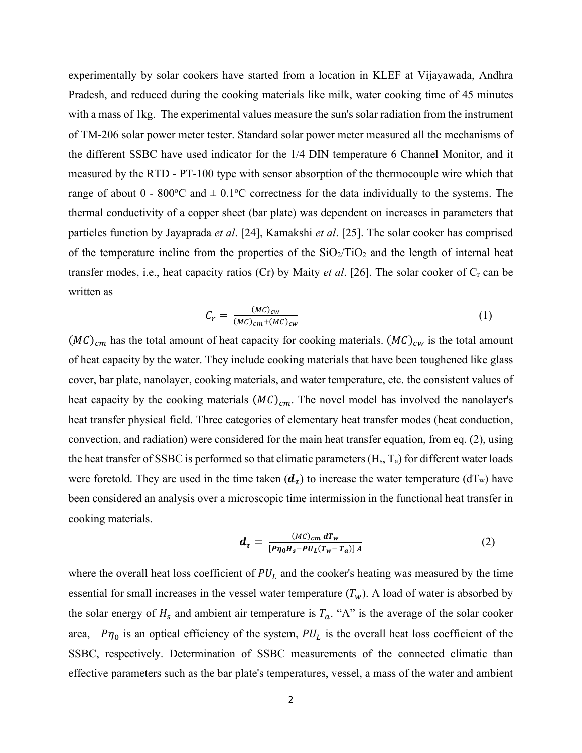experimentally by solar cookers have started from a location in KLEF at Vijayawada, Andhra Pradesh, and reduced during the cooking materials like milk, water cooking time of 45 minutes with a mass of 1kg. The experimental values measure the sun's solar radiation from the instrument of TM-206 solar power meter tester. Standard solar power meter measured all the mechanisms of the different SSBC have used indicator for the 1/4 DIN temperature 6 Channel Monitor, and it measured by the RTD - PT-100 type with sensor absorption of the thermocouple wire which that range of about  $0 - 800^{\circ}\text{C}$  and  $\pm 0.1^{\circ}\text{C}$  correctness for the data individually to the systems. The thermal conductivity of a copper sheet (bar plate) was dependent on increases in parameters that particles function by Jayaprada *et al*. [24], Kamakshi *et al*. [25]. The solar cooker has comprised of the temperature incline from the properties of the  $SiO_2/TiO_2$  and the length of internal heat transfer modes, i.e., heat capacity ratios (Cr) by Maity *et al*. [26]. The solar cooker of Cr can be written as

$$
C_r = \frac{(MC)_{cw}}{(MC)_{cm} + (MC)_{cw}}\tag{1}
$$

 $(MC)_{cm}$  has the total amount of heat capacity for cooking materials.  $(MC)_{cw}$  is the total amount of heat capacity by the water. They include cooking materials that have been toughened like glass cover, bar plate, nanolayer, cooking materials, and water temperature, etc. the consistent values of heat capacity by the cooking materials  $(MC)_{cm}$ . The novel model has involved the nanolayer's heat transfer physical field. Three categories of elementary heat transfer modes (heat conduction, convection, and radiation) were considered for the main heat transfer equation, from eq. (2), using the heat transfer of SSBC is performed so that climatic parameters  $(H_s, T_a)$  for different water loads were foretold. They are used in the time taken  $(d<sub>\tau</sub>)$  to increase the water temperature (dT<sub>w</sub>) have been considered an analysis over a microscopic time intermission in the functional heat transfer in cooking materials.

$$
d_{\tau} = \frac{(MC)_{cm} dT_w}{[P\eta_0 H_s - PU_L(T_w - T_a)]A}
$$
 (2)

where the overall heat loss coefficient of  $PU<sub>L</sub>$  and the cooker's heating was measured by the time essential for small increases in the vessel water temperature  $(T_w)$ . A load of water is absorbed by the solar energy of  $H_s$  and ambient air temperature is  $T_a$ . "A" is the average of the solar cooker area,  $P\eta_0$  is an optical efficiency of the system,  $PU_L$  is the overall heat loss coefficient of the SSBC, respectively. Determination of SSBC measurements of the connected climatic than effective parameters such as the bar plate's temperatures, vessel, a mass of the water and ambient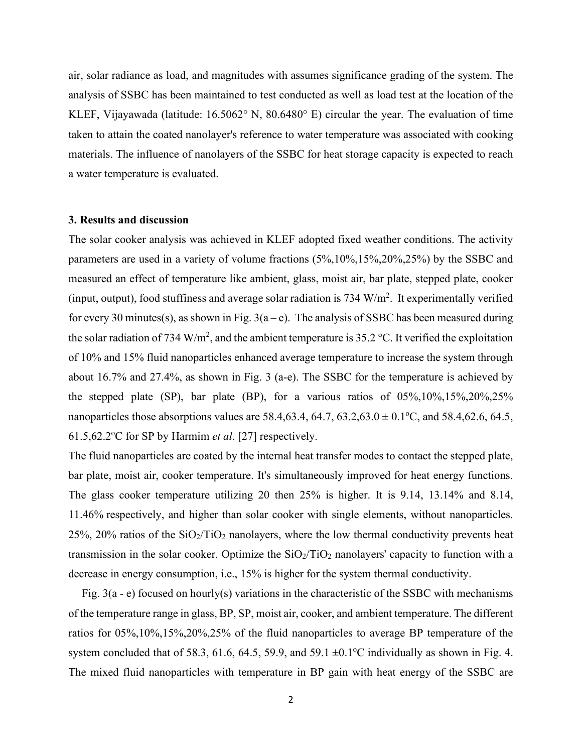air, solar radiance as load, and magnitudes with assumes significance grading of the system. The analysis of SSBC has been maintained to test conducted as well as load test at the location of the KLEF, Vijayawada (latitude: 16.5062° N, 80.6480° E) circular the year. The evaluation of time taken to attain the coated nanolayer's reference to water temperature was associated with cooking materials. The influence of nanolayers of the SSBC for heat storage capacity is expected to reach a water temperature is evaluated.

# **3. Results and discussion**

The solar cooker analysis was achieved in KLEF adopted fixed weather conditions. The activity parameters are used in a variety of volume fractions (5%,10%,15%,20%,25%) by the SSBC and measured an effect of temperature like ambient, glass, moist air, bar plate, stepped plate, cooker (input, output), food stuffiness and average solar radiation is 734  $W/m<sup>2</sup>$ . It experimentally verified for every 30 minutes(s), as shown in Fig.  $3(a-e)$ . The analysis of SSBC has been measured during the solar radiation of 734 W/m<sup>2</sup>, and the ambient temperature is 35.2 °C. It verified the exploitation of 10% and 15% fluid nanoparticles enhanced average temperature to increase the system through about 16.7% and 27.4%, as shown in Fig. 3 (a-e). The SSBC for the temperature is achieved by the stepped plate (SP), bar plate (BP), for a various ratios of 05%,10%,15%,20%,25% nanoparticles those absorptions values are 58.4, 63.4, 64.7, 63.2, 63.0  $\pm$  0.1 $^{\circ}$ C, and 58.4, 62.6, 64.5, 61.5,62.2°C for SP by Harmim *et al*. [27] respectively.

The fluid nanoparticles are coated by the internal heat transfer modes to contact the stepped plate, bar plate, moist air, cooker temperature. It's simultaneously improved for heat energy functions. The glass cooker temperature utilizing 20 then 25% is higher. It is 9.14, 13.14% and 8.14, 11.46% respectively, and higher than solar cooker with single elements, without nanoparticles. 25%, 20% ratios of the  $SiO<sub>2</sub>/TiO<sub>2</sub>$  nanolayers, where the low thermal conductivity prevents heat transmission in the solar cooker. Optimize the  $SiO_2/TiO_2$  nanolayers' capacity to function with a decrease in energy consumption, i.e., 15% is higher for the system thermal conductivity.

Fig. 3(a - e) focused on hourly(s) variations in the characteristic of the SSBC with mechanisms of the temperature range in glass, BP, SP, moist air, cooker, and ambient temperature. The different ratios for 05%,10%,15%,20%,25% of the fluid nanoparticles to average BP temperature of the system concluded that of 58.3, 61.6, 64.5, 59.9, and 59.1  $\pm$ 0.1°C individually as shown in Fig. 4. The mixed fluid nanoparticles with temperature in BP gain with heat energy of the SSBC are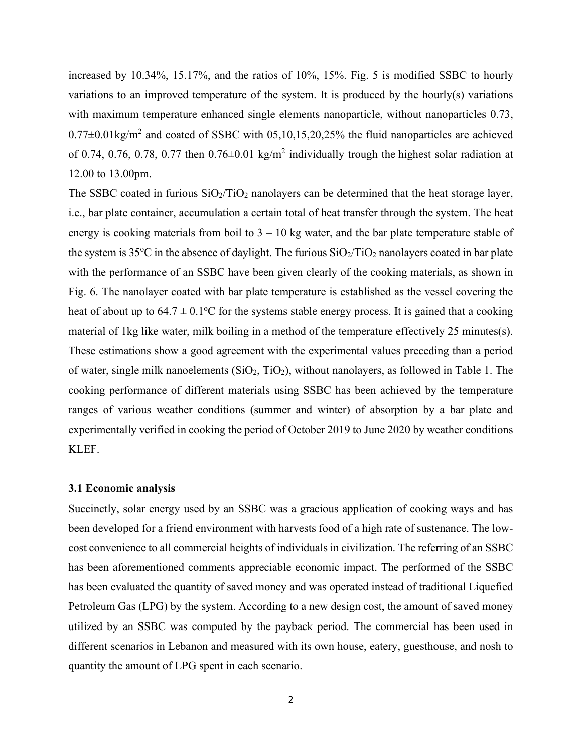increased by 10.34%, 15.17%, and the ratios of 10%, 15%. Fig. 5 is modified SSBC to hourly variations to an improved temperature of the system. It is produced by the hourly(s) variations with maximum temperature enhanced single elements nanoparticle, without nanoparticles 0.73,  $0.77\pm0.01\text{kg/m}^2$  and coated of SSBC with 05,10,15,20,25% the fluid nanoparticles are achieved of 0.74, 0.76, 0.78, 0.77 then  $0.76 \pm 0.01$  kg/m<sup>2</sup> individually trough the highest solar radiation at 12.00 to 13.00pm.

The SSBC coated in furious  $SiO<sub>2</sub>/TiO<sub>2</sub>$  nanolayers can be determined that the heat storage layer, i.e., bar plate container, accumulation a certain total of heat transfer through the system. The heat energy is cooking materials from boil to  $3 - 10$  kg water, and the bar plate temperature stable of the system is 35°C in the absence of daylight. The furious  $SiO_2/TiO_2$  nanolayers coated in bar plate with the performance of an SSBC have been given clearly of the cooking materials, as shown in Fig. 6. The nanolayer coated with bar plate temperature is established as the vessel covering the heat of about up to  $64.7 \pm 0.1$  °C for the systems stable energy process. It is gained that a cooking material of 1kg like water, milk boiling in a method of the temperature effectively 25 minutes(s). These estimations show a good agreement with the experimental values preceding than a period of water, single milk nanoelements  $(SiO<sub>2</sub>, TiO<sub>2</sub>)$ , without nanolayers, as followed in Table 1. The cooking performance of different materials using SSBC has been achieved by the temperature ranges of various weather conditions (summer and winter) of absorption by a bar plate and experimentally verified in cooking the period of October 2019 to June 2020 by weather conditions KLEF.

# **3.1 Economic analysis**

Succinctly, solar energy used by an SSBC was a gracious application of cooking ways and has been developed for a friend environment with harvests food of a high rate of sustenance. The lowcost convenience to all commercial heights of individuals in civilization. The referring of an SSBC has been aforementioned comments appreciable economic impact. The performed of the SSBC has been evaluated the quantity of saved money and was operated instead of traditional Liquefied Petroleum Gas (LPG) by the system. According to a new design cost, the amount of saved money utilized by an SSBC was computed by the payback period. The commercial has been used in different scenarios in Lebanon and measured with its own house, eatery, guesthouse, and nosh to quantity the amount of LPG spent in each scenario.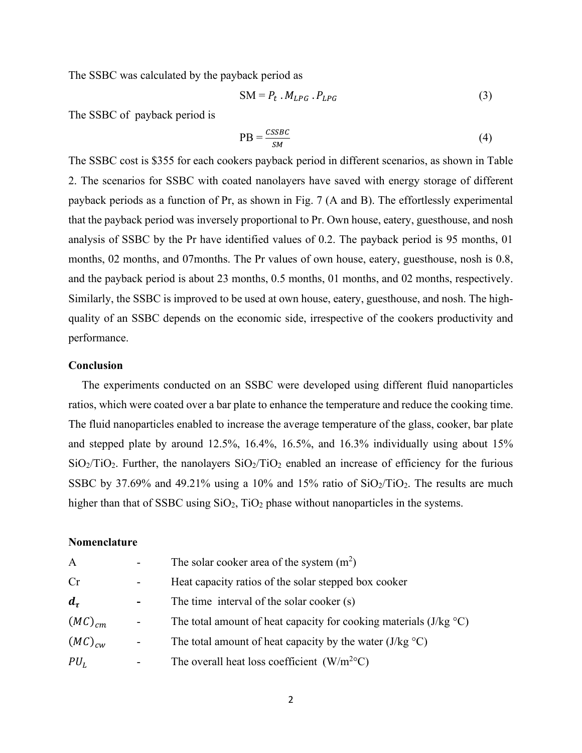The SSBC was calculated by the payback period as

$$
SM = P_t \cdot M_{LPG} \cdot P_{LPG} \tag{3}
$$

The SSBC of payback period is

$$
PB = \frac{cssbc}{sM} \tag{4}
$$

The SSBC cost is \$355 for each cookers payback period in different scenarios, as shown in Table 2. The scenarios for SSBC with coated nanolayers have saved with energy storage of different payback periods as a function of Pr, as shown in Fig. 7 (A and B). The effortlessly experimental that the payback period was inversely proportional to Pr. Own house, eatery, guesthouse, and nosh analysis of SSBC by the Pr have identified values of 0.2. The payback period is 95 months, 01 months, 02 months, and 07months. The Pr values of own house, eatery, guesthouse, nosh is 0.8, and the payback period is about 23 months, 0.5 months, 01 months, and 02 months, respectively. Similarly, the SSBC is improved to be used at own house, eatery, guesthouse, and nosh. The highquality of an SSBC depends on the economic side, irrespective of the cookers productivity and performance.

# **Conclusion**

The experiments conducted on an SSBC were developed using different fluid nanoparticles ratios, which were coated over a bar plate to enhance the temperature and reduce the cooking time. The fluid nanoparticles enabled to increase the average temperature of the glass, cooker, bar plate and stepped plate by around 12.5%, 16.4%, 16.5%, and 16.3% individually using about 15%  $SiO<sub>2</sub>/TiO<sub>2</sub>$ . Further, the nanolayers  $SiO<sub>2</sub>/TiO<sub>2</sub>$  enabled an increase of efficiency for the furious SSBC by 37.69% and 49.21% using a 10% and 15% ratio of  $SiO_2/TiO_2$ . The results are much higher than that of SSBC using  $SiO<sub>2</sub>$ , TiO<sub>2</sub> phase without nanoparticles in the systems.

#### **Nomenclature**

| The solar cooker area of the system $(m^2)$                                      |
|----------------------------------------------------------------------------------|
| Heat capacity ratios of the solar stepped box cooker                             |
| The time interval of the solar cooker (s)                                        |
| The total amount of heat capacity for cooking materials (J/kg $\rm{^{\circ}C}$ ) |
| The total amount of heat capacity by the water $(J/kg °C)$                       |
| The overall heat loss coefficient $(W/m^{20}C)$                                  |
|                                                                                  |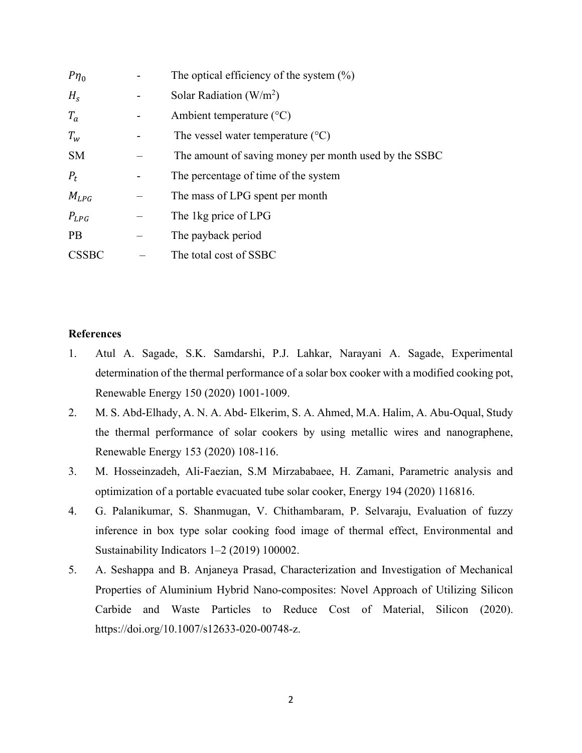| $P\eta_0$    |   | The optical efficiency of the system $(\%)$           |
|--------------|---|-------------------------------------------------------|
| $H_s$        |   | Solar Radiation $(W/m^2)$                             |
| $T_a$        |   | Ambient temperature $(^{\circ}C)$                     |
| $T_w$        |   | The vessel water temperature $(^{\circ}C)$            |
| <b>SM</b>    |   | The amount of saving money per month used by the SSBC |
| $P_t$        | - | The percentage of time of the system                  |
| $M_{LPG}$    |   | The mass of LPG spent per month                       |
| $P_{LPG}$    |   | The 1kg price of LPG                                  |
| <b>PB</b>    |   | The payback period                                    |
| <b>CSSBC</b> |   | The total cost of SSBC                                |

#### **References**

- 1. Atul A. Sagade, S.K. Samdarshi, P.J. Lahkar, Narayani A. Sagade, Experimental determination of the thermal performance of a solar box cooker with a modified cooking pot, Renewable Energy 150 (2020) 1001-1009.
- 2. M. S. Abd-Elhady, A. N. A. Abd- Elkerim, S. A. Ahmed, M.A. Halim, A. Abu-Oqual, Study the thermal performance of solar cookers by using metallic wires and nanographene, Renewable Energy 153 (2020) 108-116.
- 3. M. Hosseinzadeh, Ali-Faezian, S.M Mirzababaee, H. Zamani, Parametric analysis and optimization of a portable evacuated tube solar cooker, Energy 194 (2020) 116816.
- 4. G. Palanikumar, S. Shanmugan, V. Chithambaram, P. Selvaraju, Evaluation of fuzzy inference in box type solar cooking food image of thermal effect, Environmental and Sustainability Indicators 1–2 (2019) 100002.
- 5. A. Seshappa and B. Anjaneya Prasad, Characterization and Investigation of Mechanical Properties of Aluminium Hybrid Nano-composites: Novel Approach of Utilizing Silicon Carbide and Waste Particles to Reduce Cost of Material, Silicon (2020). [https://doi.org/10.1007/s12633-020-00748-z.](about:blank)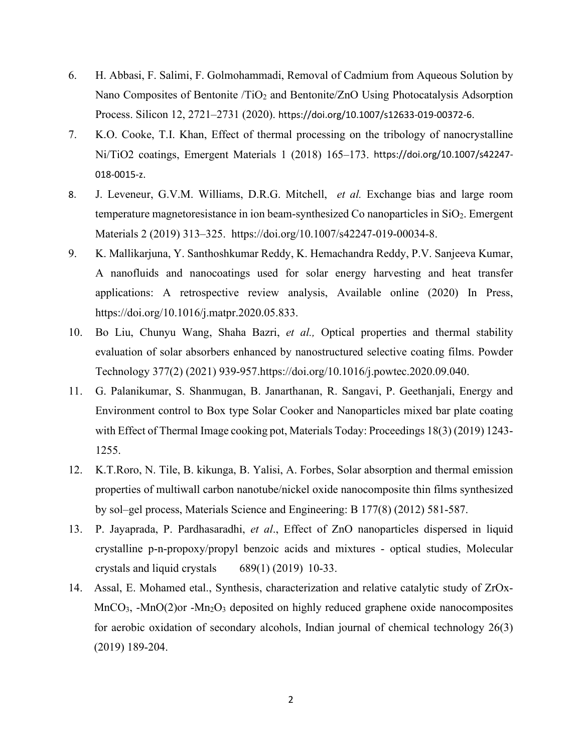- 6. H. Abbasi, F. Salimi, F. Golmohammadi, Removal of Cadmium from Aqueous Solution by Nano Composites of Bentonite /TiO<sub>2</sub> and Bentonite/ZnO Using Photocatalysis Adsorption Process. Silicon 12, 2721–2731 (2020). [https://doi.org/10.1007/s12633-019-00372-6](about:blank).
- 7. K.O. Cooke, T.I. Khan, Effect of thermal processing on the tribology of nanocrystalline Ni/TiO2 coatings, Emergent Materials 1 (2018) 165–173. [https://doi.org/10.1007/s42247-](about:blank) [018-0015-z](about:blank).
- 8. J. Leveneur, G.V.M. Williams, D.R.G. Mitchell, *et al.* Exchange bias and large room temperature magnetoresistance in ion beam-synthesized Co nanoparticles in  $SiO<sub>2</sub>$ . Emergent Materials 2 (2019) 313–325. [https://doi.org/10.1007/s42247-019-00034-8.](about:blank)
- 9. K. Mallikarjuna, Y. Santhoshkumar Reddy, K. Hemachandra Reddy, P.V. Sanjeeva Kumar, A nanofluids and nanocoatings used for solar energy harvesting and heat transfer applications: A retrospective review analysis, Available online (2020) In Press, [https://doi.org/10.1016/j.matpr.2020.05.833.](about:blank)
- 10. Bo Liu, Chunyu Wang, Shaha Bazri, *et al.,* Optical properties and thermal stability evaluation of solar absorbers enhanced by nanostructured selective coating films. Powder Technology 377(2) (2021) 939-957.https://doi.org/10.1016/j.powtec.2020.09.040.
- 11. G. Palanikumar, S. Shanmugan, B. Janarthanan, R. Sangavi, P. Geethanjali, Energy and Environment control to Box type Solar Cooker and Nanoparticles mixed bar plate coating with Effect of Thermal Image cooking pot, Materials Today: Proceedings 18(3) (2019) 1243- 1255.
- 12. K.T.Roro, N. Tile, B. kikunga, B. Yalisi, A. Forbes, Solar absorption and thermal emission properties of multiwall carbon nanotube/nickel oxide nanocomposite thin films synthesized by sol–gel process, Materials Science and Engineering: B 177(8) (2012) 581-587.
- 13. P. Jayaprada, P. Pardhasaradhi, *et al*., Effect of ZnO nanoparticles dispersed in liquid crystalline p-n-propoxy/propyl benzoic acids and mixtures - optical studies, Molecular crystals and liquid crystals 689(1) (2019) 10-33.
- 14. Assal, E. Mohamed etal., Synthesis, characterization and relative catalytic study of ZrOx-MnCO<sub>3</sub>, -MnO(2)or -Mn<sub>2</sub>O<sub>3</sub> deposited on highly reduced graphene oxide nanocomposites for aerobic oxidation of secondary alcohols, Indian journal of chemical technology 26(3) (2019) 189-204.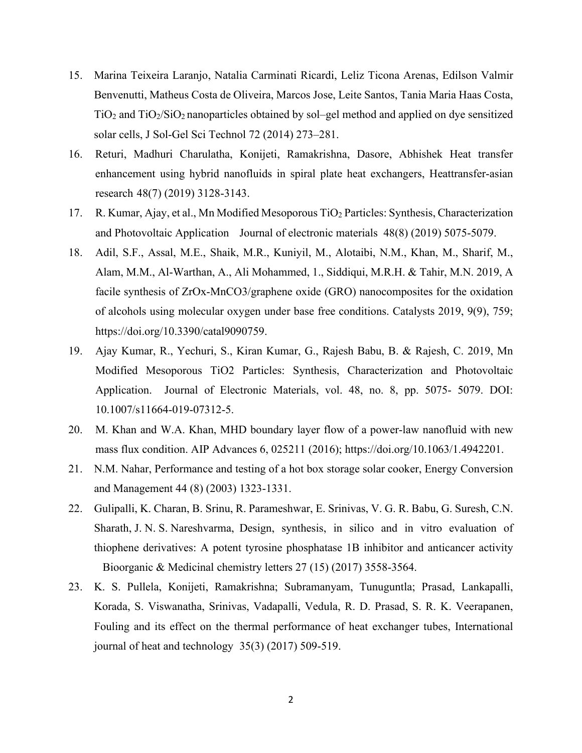- 15. Marina Teixeira Laranjo, Natalia Carminati Ricardi, Leliz Ticona Arenas, Edilson Valmir Benvenutti, Matheus Costa de Oliveira, Marcos Jose, Leite Santos, Tania Maria Haas Costa,  $TiO<sub>2</sub>$  and  $TiO<sub>2</sub>/SiO<sub>2</sub>$  nanoparticles obtained by sol–gel method and applied on dye sensitized solar cells, J Sol-Gel Sci Technol 72 (2014) 273–281.
- 16. Returi, Madhuri Charulatha, Konijeti, Ramakrishna, Dasore, Abhishek Heat transfer enhancement using hybrid nanofluids in spiral plate heat exchangers, Heattransfer-asian research 48(7) (2019) 3128-3143.
- 17. R. Kumar, Ajay, et al., Mn Modified Mesoporous TiO<sub>2</sub> Particles: Synthesis, Characterization and Photovoltaic Application Journal of electronic materials 48(8) (2019) 5075-5079.
- 18. Adil, S.F., Assal, M.E., Shaik, M.R., Kuniyil, M., Alotaibi, N.M., Khan, M., Sharif, M., Alam, M.M., Al-Warthan, A., Ali Mohammed, 1., Siddiqui, M.R.H. & Tahir, M.N. 2019, A facile synthesis of ZrOx-MnCO3/graphene oxide (GRO) nanocomposites for the oxidation of alcohols using molecular oxygen under base free conditions. Catalysts 2019, 9(9), 759; [https://doi.org/10.3390/catal9090759.](about:blank)
- 19. Ajay Kumar, R., Yechuri, S., Kiran Kumar, G., Rajesh Babu, B. & Rajesh, C. 2019, Mn Modified Mesoporous TiO2 Particles: Synthesis, Characterization and Photovoltaic Application. Journal of Electronic Materials, vol. 48, no. 8, pp. 5075- 5079. DOI: 10.1007/s11664-019-07312-5.
- 20. M. Khan and W.A. Khan, MHD boundary layer flow of a power-law nanofluid with new mass flux condition. AIP Advances 6, 025211 (2016); [https://doi.org/10.1063/1.4942201.](about:blank)
- 21. N.M. Nahar, Performance and testing of a hot box storage solar cooker, Energy Conversion and Management 44 (8) (2003) 1323-1331.
- 22. Gulipalli, K. Charan, B. Srinu, R. Parameshwar, E. Srinivas, V. G. R. Babu, G. Suresh, C.N. Sharath, J. N. S. Nareshvarma, Design, synthesis, in silico and in vitro evaluation of thiophene derivatives: A potent tyrosine phosphatase 1B inhibitor and anticancer activity Bioorganic & Medicinal chemistry letters 27 (15) (2017) 3558-3564.
- 23. K. S. Pullela, Konijeti, Ramakrishna; Subramanyam, Tunuguntla; Prasad, Lankapalli, Korada, S. Viswanatha, Srinivas, Vadapalli, Vedula, R. D. Prasad, S. R. K. Veerapanen, Fouling and its effect on the thermal performance of heat exchanger tubes, International journal of heat and technology 35(3) (2017) 509-519.